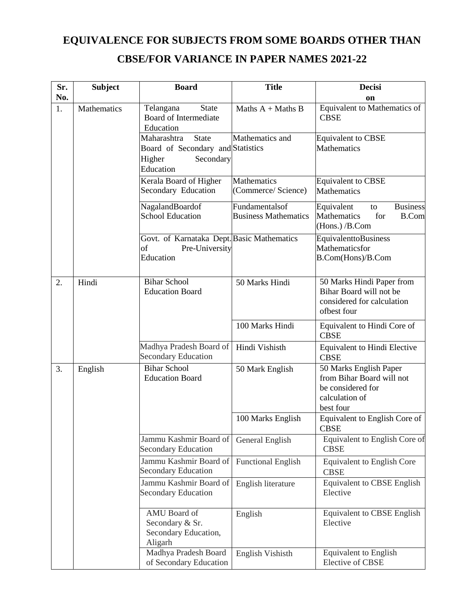## **EQUIVALENCE FOR SUBJECTS FROM SOME BOARDS OTHER THAN CBSE/FOR VARIANCE IN PAPER NAMES 2021-22**

| Sr. | <b>Subject</b>     | <b>Board</b>                                                                    | <b>Title</b>                                  | <b>Decisi</b>                                                                                           |
|-----|--------------------|---------------------------------------------------------------------------------|-----------------------------------------------|---------------------------------------------------------------------------------------------------------|
| No. |                    |                                                                                 |                                               | on                                                                                                      |
| 1.  | <b>Mathematics</b> | Telangana<br><b>State</b><br>Board of Intermediate<br>Education                 | Maths $A +$ Maths B                           | Equivalent to Mathematics of<br><b>CBSE</b>                                                             |
|     |                    | State<br>Maharashtra<br>Board of Secondary and Statistics                       | Mathematics and                               | <b>Equivalent to CBSE</b><br>Mathematics                                                                |
|     |                    | Higher<br>Secondary<br>Education                                                |                                               |                                                                                                         |
|     |                    | Kerala Board of Higher<br>Secondary Education                                   | Mathematics<br>(Commerce/ Science)            | <b>Equivalent to CBSE</b><br>Mathematics                                                                |
|     |                    | NagalandBoardof<br><b>School Education</b>                                      | Fundamentalsof<br><b>Business Mathematics</b> | Equivalent<br><b>Business</b><br>to<br>Mathematics<br>for<br><b>B.Com</b><br>(Hons.) /B.Com             |
|     |                    | Govt. of Karnataka Dept. Basic Mathematics<br>of<br>Pre-University<br>Education |                                               | EquivalenttoBusiness<br>Mathematicsfor<br>B.Com(Hons)/B.Com                                             |
| 2.  | Hindi              | <b>Bihar School</b><br><b>Education Board</b>                                   | 50 Marks Hindi                                | 50 Marks Hindi Paper from<br>Bihar Board will not be<br>considered for calculation<br>ofbest four       |
|     |                    |                                                                                 | 100 Marks Hindi                               | Equivalent to Hindi Core of<br><b>CBSE</b>                                                              |
|     |                    | Madhya Pradesh Board of<br><b>Secondary Education</b>                           | Hindi Vishisth                                | <b>Equivalent to Hindi Elective</b><br><b>CBSE</b>                                                      |
| 3.  | English            | <b>Bihar School</b><br><b>Education Board</b>                                   | 50 Mark English                               | 50 Marks English Paper<br>from Bihar Board will not<br>be considered for<br>calculation of<br>best four |
|     |                    |                                                                                 | 100 Marks English                             | Equivalent to English Core of<br>CBSE                                                                   |
|     |                    | Jammu Kashmir Board of<br><b>Secondary Education</b>                            | General English                               | Equivalent to English Core of<br><b>CBSE</b>                                                            |
|     |                    | Jammu Kashmir Board of<br><b>Secondary Education</b>                            | <b>Functional English</b>                     | <b>Equivalent to English Core</b><br><b>CBSE</b>                                                        |
|     |                    | Jammu Kashmir Board of<br><b>Secondary Education</b>                            | English literature                            | <b>Equivalent to CBSE English</b><br>Elective                                                           |
|     |                    | AMU Board of<br>Secondary & Sr.<br>Secondary Education,<br>Aligarh              | English                                       | <b>Equivalent to CBSE English</b><br>Elective                                                           |
|     |                    | Madhya Pradesh Board<br>of Secondary Education                                  | English Vishisth                              | <b>Equivalent to English</b><br><b>Elective of CBSE</b>                                                 |